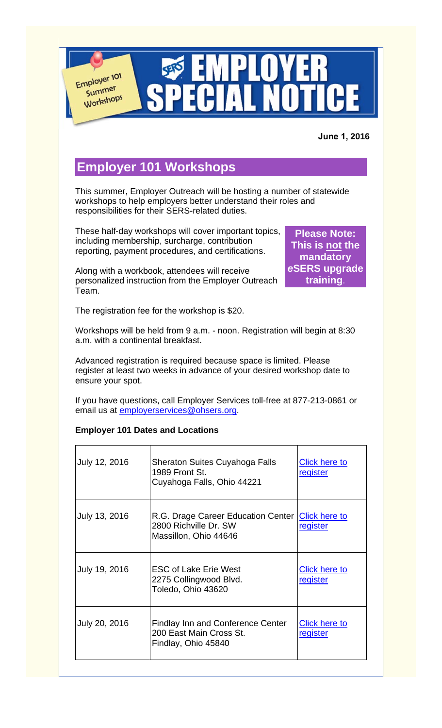Employer 101 Summer Workshops  **June 1, 2016 Employer 101 Workshops** This summer, Employer Outreach will be hosting a number of statewide workshops to help employers better understand their roles and responsibilities for their SERS-related duties. These half-day workshops will cover important topics, **Please Note:**  including membership, surcharge, contribution **This is not the**  reporting, payment procedures, and certifications. **mandatory**  *e***SERS upgrade**  Along with a workbook, attendees will receive **training**.personalized instruction from the Employer Outreach Team. The registration fee for the workshop is \$20. Workshops will be held from 9 a.m. - noon. Registration will begin at 8:30 a.m. with a continental breakfast. Advanced registration is required because space is limited. Please register at least two weeks in advance of your desired workshop date to ensure your spot. If you have questions, call Employer Services toll-free at 877-213-0861 or email us at **employerservices@ohsers.org**. **Employer 101 Dates and Locations** July 12, 2016 | Sheraton Suites Cuyahoga Falls Click here to 1989 Front St. **register** Cuyahoga Falls, Ohio 44221

| July 13, 2016 | R.G. Drage Career Education Center<br>2800 Richville Dr. SW<br>Massillon, Ohio 44646 | <b>Click here to</b><br>register |
|---------------|--------------------------------------------------------------------------------------|----------------------------------|
| July 19, 2016 | <b>ESC of Lake Erie West</b><br>2275 Collingwood Blvd.<br>Toledo, Ohio 43620         | <b>Click here to</b><br>register |
| July 20, 2016 | Findlay Inn and Conference Center<br>200 East Main Cross St.<br>Findlay, Ohio 45840  | Click here to<br>register        |